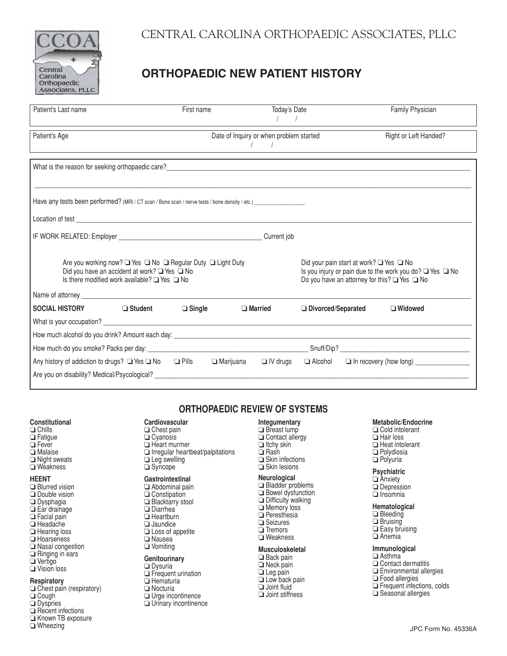

# **ORTHOPAEDIC NEW PATIENT HISTORY**

| Patient's Last name                                                                                                                                                   | First name                                                                                                                                                              | Today's Date<br>$\sqrt{1}$              |                      | Family Physician                                                                                                                                                                                                                                       |  |  |  |  |
|-----------------------------------------------------------------------------------------------------------------------------------------------------------------------|-------------------------------------------------------------------------------------------------------------------------------------------------------------------------|-----------------------------------------|----------------------|--------------------------------------------------------------------------------------------------------------------------------------------------------------------------------------------------------------------------------------------------------|--|--|--|--|
| Patient's Age<br><u> 1989 - Johann Barn, fransk politik amerikansk politik (</u>                                                                                      |                                                                                                                                                                         | Date of Inquiry or when problem started |                      | Right or Left Handed?<br>the control of the control of the control of the control of the control of the control of the control of the control of the control of the control of the control of the control of the control of the control of the control |  |  |  |  |
|                                                                                                                                                                       |                                                                                                                                                                         |                                         |                      |                                                                                                                                                                                                                                                        |  |  |  |  |
|                                                                                                                                                                       |                                                                                                                                                                         |                                         |                      |                                                                                                                                                                                                                                                        |  |  |  |  |
|                                                                                                                                                                       |                                                                                                                                                                         |                                         |                      |                                                                                                                                                                                                                                                        |  |  |  |  |
|                                                                                                                                                                       |                                                                                                                                                                         |                                         |                      |                                                                                                                                                                                                                                                        |  |  |  |  |
| Are you working now? ■ Yes ■ No ■ Regular Duty ■ Light Duty<br>Did you have an accident at work? ■ Yes ■ No<br>Is there modified work available? $\Box$ Yes $\Box$ No | Did your pain start at work? $\Box$ Yes $\Box$ No<br>Is you injury or pain due to the work you do? ■ Yes ■ No<br>Do you have an attorney for this? $\Box$ Yes $\Box$ No |                                         |                      |                                                                                                                                                                                                                                                        |  |  |  |  |
|                                                                                                                                                                       |                                                                                                                                                                         |                                         |                      |                                                                                                                                                                                                                                                        |  |  |  |  |
| <b>SOCIAL HISTORY</b><br>— Student                                                                                                                                    | $\Box$ Single                                                                                                                                                           | $\Box$ Married                          | □ Divorced/Separated | $\Box$ Widowed                                                                                                                                                                                                                                         |  |  |  |  |
| What is your occupation?<br><u> What is your occupation?</u>                                                                                                          |                                                                                                                                                                         |                                         |                      |                                                                                                                                                                                                                                                        |  |  |  |  |
|                                                                                                                                                                       |                                                                                                                                                                         |                                         |                      |                                                                                                                                                                                                                                                        |  |  |  |  |
|                                                                                                                                                                       |                                                                                                                                                                         |                                         |                      |                                                                                                                                                                                                                                                        |  |  |  |  |
| Any history of addiction to drugs? $\Box$ Yes $\Box$ No $\Box$ Pills<br>Are you on disability? Medical/Psycological?                                                  |                                                                                                                                                                         | $\Box$ IV drugs<br>□ Marijuana          |                      | $\Box$ Alcohol $\Box$ In recovery (how long) $\Box$                                                                                                                                                                                                    |  |  |  |  |

### **Constitutional**

- **Q** Chills **D** Fatigue **□** Fever **D** Malaise □ Night sweats
- **□** Weakness

### **HEENT**

**Blurred vision** Double vision **Dysphagia** Ear drainage Facial pain Headache □ Hearing loss **□** Hoarseness □ Nasal congestion Ringing in ears **Vertigo** Vision loss **Respiratory**

- $\Box$  Chest pain (respiratory) Ough **Dyspries**
- Recent infections
- Known TB exposure
- **U** Wheezing

## **ORTHOPAEDIC REVIEW OF SYSTEMS**

- **Cardiovascular**
- Chest pain
- □ Cyanosis
- □ Heart murmer
- $\Box$  Irregular heartbeat/palpitations
- $\overline{\square}$  Leg swelling
- Syncope

### **Gastrointestinal**

- $\Box$  Abdominal pain Constipation
- 
- Blacktarry stool
- Diarrhea
- **Heartburn**
- **Jaundice**
- Loss of appetite **Nausea**
- **U** Vomiting

## **Genitourinary**

### **Dysuria**

- Frequent urination
- Hematuria
- **Nocturia**
- 
- **Urge incontinence** Urinary incontinence
- **Integumentary**
- Breast lump
- Contact allergy
- $\Box$  Itchy skin **□** Rash
- $\overline{\square}$  Skin infections

### $\Box$  Skin lesions

### **Neurological**

- Bladder problems
- 
- 
- 
- 
- 
- 
- 

- $\Box$  Back pain Neck pain
- **□** Leg pain
- **□ Low back pain**
- Joint fluid
- $\Box$  Joint stiffness

### **Metabolic/Endocrine**

Oold intolerant **Hair loss Heat intolerant Polydiosia D** Polyuria

### **Psychiatric**

**Anxiety Depression**  $\Box$  Insomnia

### **Hematological**

**Bleeding Bruising** Easy bruising **D** Anemia

### **Immunological**

- $\Box$  Asthma
- Ochiact dermatitis
- **Environmental allergies**
- □ Food allergies
- **Frequent infections, colds**
- Seasonal allergies
- **Bowel dysfunction** Memory loss
- **Peresthesia**
- 
- 
- **□** Weakness

### **Musculoskeletal**

- 
- 
- 
- 

- Difficulty walking
- 
- 
- **□** Seizures
- $\Box$  Tremors